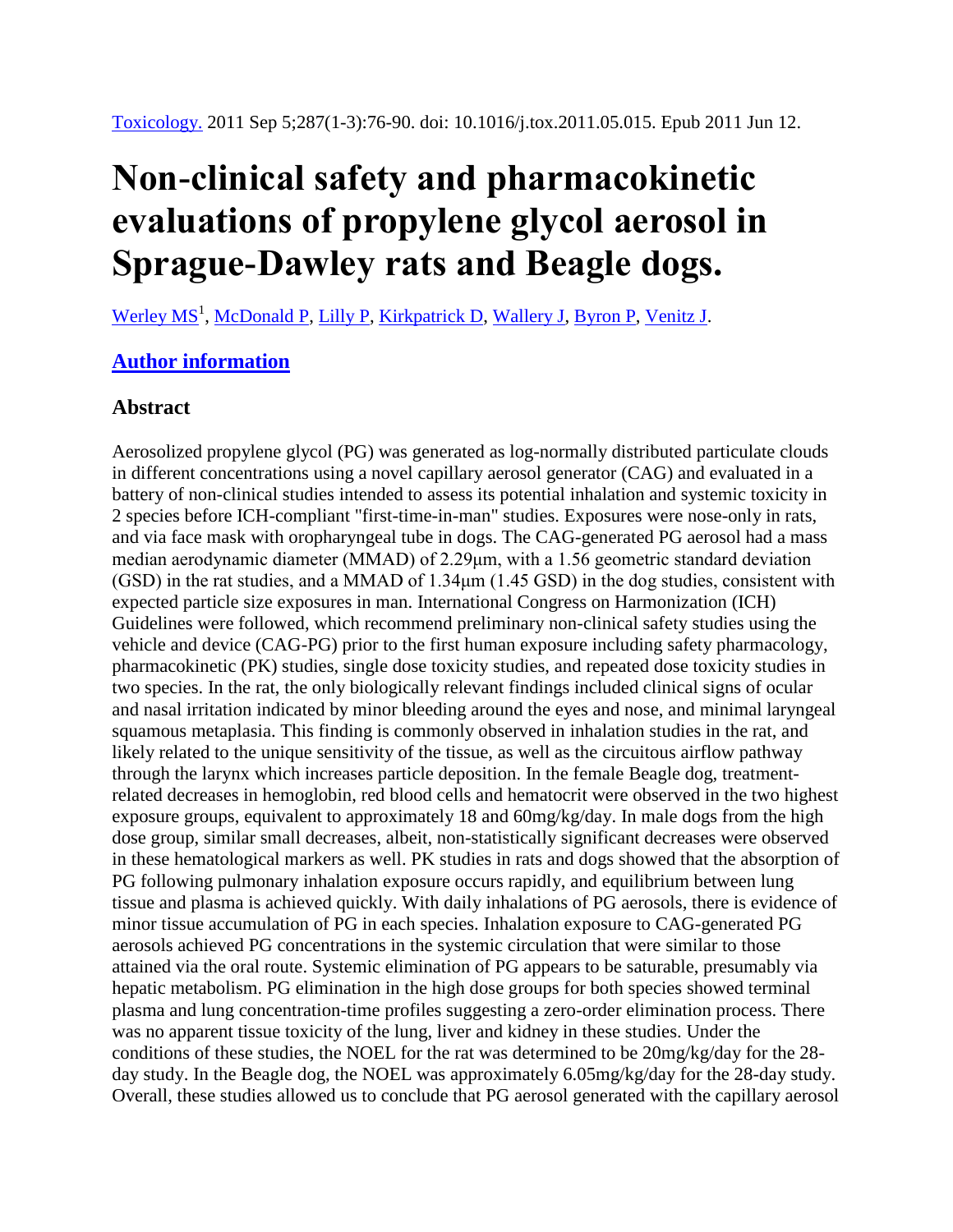## **Non-clinical safety and pharmacokinetic evaluations of propylene glycol aerosol in Sprague-Dawley rats and Beagle dogs.**

[Werley MS](http://www.ncbi.nlm.nih.gov/pubmed/?term=Werley%20MS%5BAuthor%5D&cauthor=true&cauthor_uid=21683116)<sup>1</sup>, [McDonald P,](http://www.ncbi.nlm.nih.gov/pubmed/?term=McDonald%20P%5BAuthor%5D&cauthor=true&cauthor_uid=21683116) [Lilly P,](http://www.ncbi.nlm.nih.gov/pubmed/?term=Lilly%20P%5BAuthor%5D&cauthor=true&cauthor_uid=21683116) [Kirkpatrick D,](http://www.ncbi.nlm.nih.gov/pubmed/?term=Kirkpatrick%20D%5BAuthor%5D&cauthor=true&cauthor_uid=21683116) [Wallery J,](http://www.ncbi.nlm.nih.gov/pubmed/?term=Wallery%20J%5BAuthor%5D&cauthor=true&cauthor_uid=21683116) [Byron P,](http://www.ncbi.nlm.nih.gov/pubmed/?term=Byron%20P%5BAuthor%5D&cauthor=true&cauthor_uid=21683116) [Venitz J.](http://www.ncbi.nlm.nih.gov/pubmed/?term=Venitz%20J%5BAuthor%5D&cauthor=true&cauthor_uid=21683116)

## **[Author information](http://www.ncbi.nlm.nih.gov/pubmed/21683116)**

## **Abstract**

Aerosolized propylene glycol (PG) was generated as log-normally distributed particulate clouds in different concentrations using a novel capillary aerosol generator (CAG) and evaluated in a battery of non-clinical studies intended to assess its potential inhalation and systemic toxicity in 2 species before ICH-compliant "first-time-in-man" studies. Exposures were nose-only in rats, and via face mask with oropharyngeal tube in dogs. The CAG-generated PG aerosol had a mass median aerodynamic diameter (MMAD) of 2.29μm, with a 1.56 geometric standard deviation (GSD) in the rat studies, and a MMAD of 1.34μm (1.45 GSD) in the dog studies, consistent with expected particle size exposures in man. International Congress on Harmonization (ICH) Guidelines were followed, which recommend preliminary non-clinical safety studies using the vehicle and device (CAG-PG) prior to the first human exposure including safety pharmacology, pharmacokinetic (PK) studies, single dose toxicity studies, and repeated dose toxicity studies in two species. In the rat, the only biologically relevant findings included clinical signs of ocular and nasal irritation indicated by minor bleeding around the eyes and nose, and minimal laryngeal squamous metaplasia. This finding is commonly observed in inhalation studies in the rat, and likely related to the unique sensitivity of the tissue, as well as the circuitous airflow pathway through the larynx which increases particle deposition. In the female Beagle dog, treatmentrelated decreases in hemoglobin, red blood cells and hematocrit were observed in the two highest exposure groups, equivalent to approximately 18 and 60mg/kg/day. In male dogs from the high dose group, similar small decreases, albeit, non-statistically significant decreases were observed in these hematological markers as well. PK studies in rats and dogs showed that the absorption of PG following pulmonary inhalation exposure occurs rapidly, and equilibrium between lung tissue and plasma is achieved quickly. With daily inhalations of PG aerosols, there is evidence of minor tissue accumulation of PG in each species. Inhalation exposure to CAG-generated PG aerosols achieved PG concentrations in the systemic circulation that were similar to those attained via the oral route. Systemic elimination of PG appears to be saturable, presumably via hepatic metabolism. PG elimination in the high dose groups for both species showed terminal plasma and lung concentration-time profiles suggesting a zero-order elimination process. There was no apparent tissue toxicity of the lung, liver and kidney in these studies. Under the conditions of these studies, the NOEL for the rat was determined to be 20mg/kg/day for the 28 day study. In the Beagle dog, the NOEL was approximately 6.05mg/kg/day for the 28-day study. Overall, these studies allowed us to conclude that PG aerosol generated with the capillary aerosol